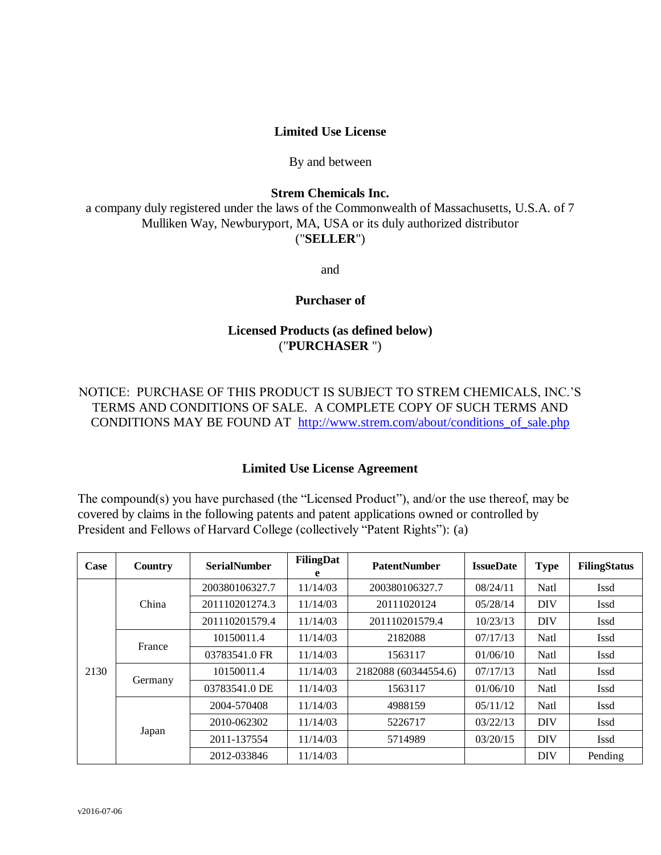### **Limited Use License**

#### By and between

### **Strem Chemicals Inc.**

a company duly registered under the laws of the Commonwealth of Massachusetts, U.S.A. of 7 Mulliken Way, Newburyport, MA, USA or its duly authorized distributor ("**SELLER**")

and

### **Purchaser of**

## **Licensed Products (as defined below)** ("**PURCHASER** ")

# NOTICE: PURCHASE OF THIS PRODUCT IS SUBJECT TO STREM CHEMICALS, INC.'S TERMS AND CONDITIONS OF SALE. A COMPLETE COPY OF SUCH TERMS AND CONDITIONS MAY BE FOUND AT [http://www.strem.com/about/conditions\\_of\\_sale.php](http://www.strem.com/about/conditions_of_sale.php)

### **Limited Use License Agreement**

The compound(s) you have purchased (the "Licensed Product"), and/or the use thereof, may be covered by claims in the following patents and patent applications owned or controlled by President and Fellows of Harvard College (collectively "Patent Rights"): (a)

| Case | Country | <b>SerialNumber</b> | FilingDat<br>e | <b>PatentNumber</b>  | <b>IssueDate</b> | <b>Type</b> | <b>FilingStatus</b> |
|------|---------|---------------------|----------------|----------------------|------------------|-------------|---------------------|
| 2130 | China   | 200380106327.7      | 11/14/03       | 200380106327.7       | 08/24/11         | Natl        | Issd                |
|      |         | 201110201274.3      | 11/14/03       | 20111020124          | 05/28/14         | DIV         | <b>Issd</b>         |
|      |         | 201110201579.4      | 11/14/03       | 201110201579.4       | 10/23/13         | <b>DIV</b>  | Issd                |
|      | France  | 10150011.4          | 11/14/03       | 2182088              | 07/17/13         | Natl        | Issd                |
|      |         | 03783541.0 FR       | 11/14/03       | 1563117              | 01/06/10         | Natl        | Issd                |
|      | Germany | 10150011.4          | 11/14/03       | 2182088 (60344554.6) | 07/17/13         | Natl        | Issd                |
|      |         | 03783541.0 DE       | 11/14/03       | 1563117              | 01/06/10         | Natl        | Issd                |
|      | Japan   | 2004-570408         | 11/14/03       | 4988159              | 05/11/12         | Natl        | <b>Issd</b>         |
|      |         | 2010-062302         | 11/14/03       | 5226717              | 03/22/13         | DIV         | Issd                |
|      |         | 2011-137554         | 11/14/03       | 5714989              | 03/20/15         | <b>DIV</b>  | Issd                |
|      |         | 2012-033846         | 11/14/03       |                      |                  | DIV         | Pending             |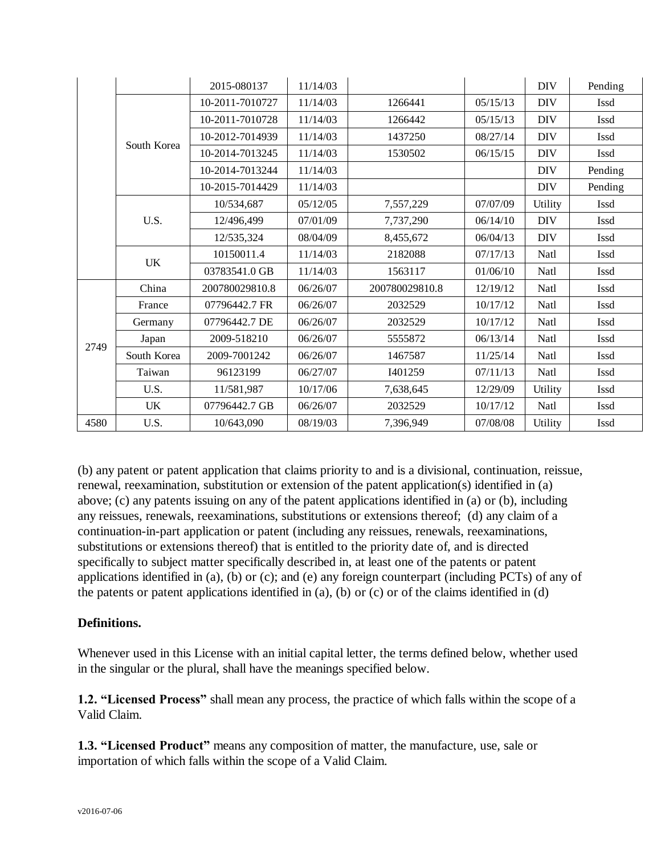|      |             | 2015-080137     | 11/14/03 |                |          | <b>DIV</b> | Pending     |
|------|-------------|-----------------|----------|----------------|----------|------------|-------------|
|      | South Korea | 10-2011-7010727 | 11/14/03 | 1266441        | 05/15/13 | <b>DIV</b> | Issd        |
|      |             | 10-2011-7010728 | 11/14/03 | 1266442        | 05/15/13 | <b>DIV</b> | Issd        |
|      |             | 10-2012-7014939 | 11/14/03 | 1437250        | 08/27/14 | <b>DIV</b> | <b>Issd</b> |
|      |             | 10-2014-7013245 | 11/14/03 | 1530502        | 06/15/15 | <b>DIV</b> | Issd        |
|      |             | 10-2014-7013244 | 11/14/03 |                |          | <b>DIV</b> | Pending     |
|      |             | 10-2015-7014429 | 11/14/03 |                |          | <b>DIV</b> | Pending     |
|      | U.S.        | 10/534,687      | 05/12/05 | 7,557,229      | 07/07/09 | Utility    | Issd        |
|      |             | 12/496,499      | 07/01/09 | 7,737,290      | 06/14/10 | <b>DIV</b> | <b>Issd</b> |
|      |             | 12/535,324      | 08/04/09 | 8,455,672      | 06/04/13 | <b>DIV</b> | <b>Issd</b> |
|      | UK          | 10150011.4      | 11/14/03 | 2182088        | 07/17/13 | Natl       | Issd        |
|      |             | 03783541.0 GB   | 11/14/03 | 1563117        | 01/06/10 | Natl       | <b>Issd</b> |
| 2749 | China       | 200780029810.8  | 06/26/07 | 200780029810.8 | 12/19/12 | Natl       | <b>Issd</b> |
|      | France      | 07796442.7 FR   | 06/26/07 | 2032529        | 10/17/12 | Natl       | Issd        |
|      | Germany     | 07796442.7 DE   | 06/26/07 | 2032529        | 10/17/12 | Natl       | Issd        |
|      | Japan       | 2009-518210     | 06/26/07 | 5555872        | 06/13/14 | Natl       | Issd        |
|      | South Korea | 2009-7001242    | 06/26/07 | 1467587        | 11/25/14 | Natl       | Issd        |
|      | Taiwan      | 96123199        | 06/27/07 | I401259        | 07/11/13 | Natl       | <b>Issd</b> |
|      | U.S.        | 11/581,987      | 10/17/06 | 7,638,645      | 12/29/09 | Utility    | <b>Issd</b> |
|      | UK          | 07796442.7 GB   | 06/26/07 | 2032529        | 10/17/12 | Natl       | Issd        |
| 4580 | U.S.        | 10/643,090      | 08/19/03 | 7,396,949      | 07/08/08 | Utility    | Issd        |

(b) any patent or patent application that claims priority to and is a divisional, continuation, reissue, renewal, reexamination, substitution or extension of the patent application(s) identified in (a) above; (c) any patents issuing on any of the patent applications identified in (a) or (b), including any reissues, renewals, reexaminations, substitutions or extensions thereof; (d) any claim of a continuation-in-part application or patent (including any reissues, renewals, reexaminations, substitutions or extensions thereof) that is entitled to the priority date of, and is directed specifically to subject matter specifically described in, at least one of the patents or patent applications identified in (a), (b) or (c); and (e) any foreign counterpart (including PCTs) of any of the patents or patent applications identified in (a), (b) or (c) or of the claims identified in (d)

# **Definitions.**

Whenever used in this License with an initial capital letter, the terms defined below, whether used in the singular or the plural, shall have the meanings specified below.

**1.2. "Licensed Process"** shall mean any process, the practice of which falls within the scope of a Valid Claim.

**1.3. "Licensed Product"** means any composition of matter, the manufacture, use, sale or importation of which falls within the scope of a Valid Claim.